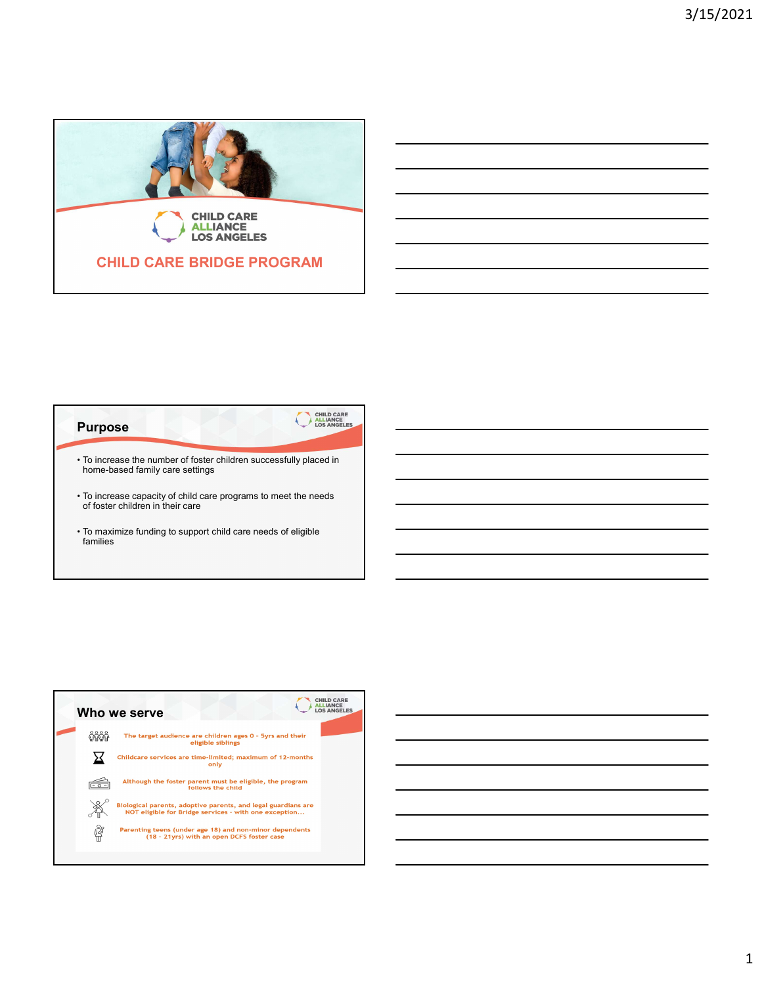

## **Purpose** home-based family care settings **• To increase capacity of child care increase capacity of control of child care increase capacity of child care increase of control of other children in their care<br>
• To increase the number of foster children successfully** of foster children in their care **EXAMPLE CARE BRIDGE PROGRAM**<br>
• To increase the number of foster children successfully placed in<br>
• To increase the number of foster children successfully placed in<br>
• To increase capacity of child care programs to meet t families

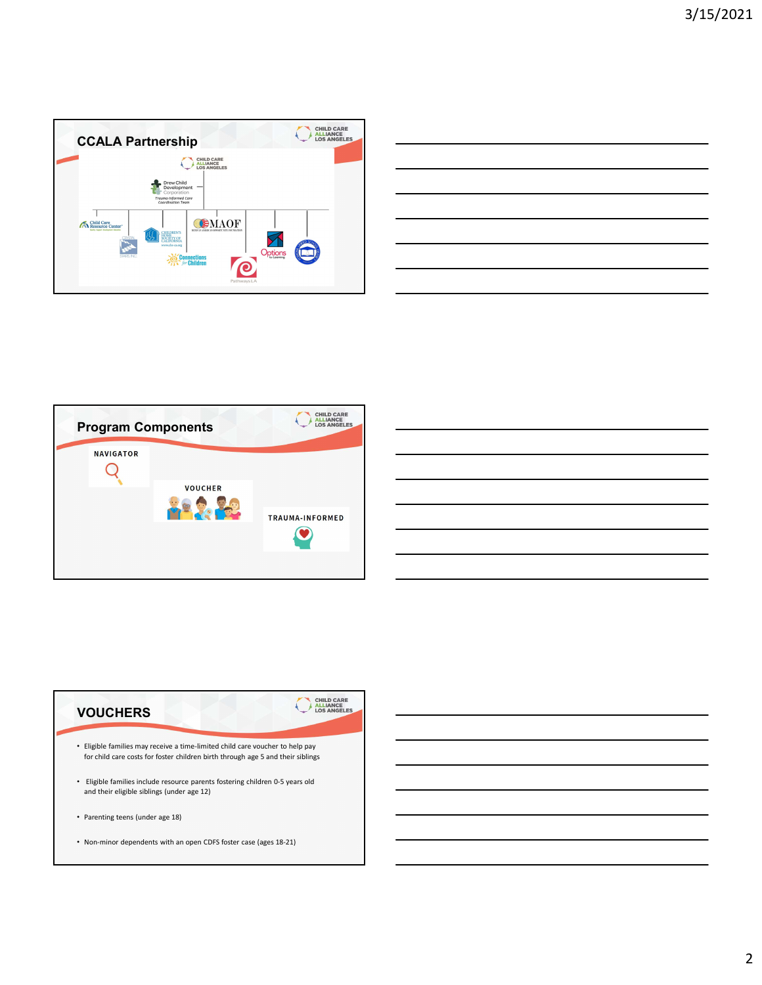

| _______ |     |
|---------|-----|
|         | ___ |
| ______  |     |
| ____    |     |
|         |     |
|         |     |





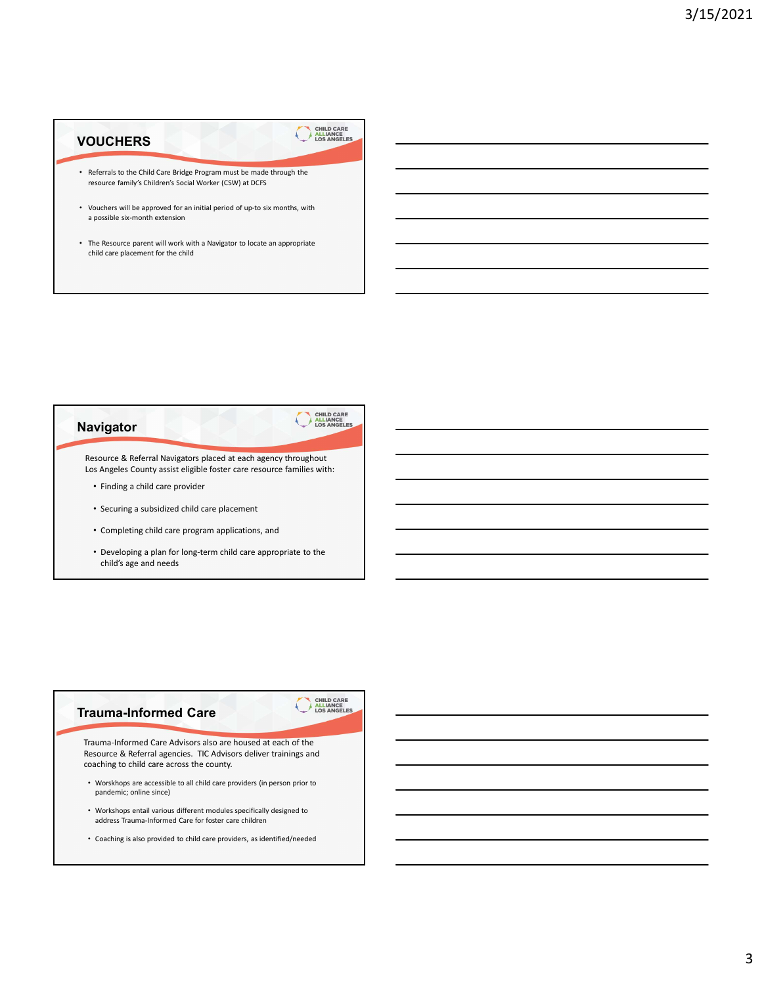## **VOUCHERS** • Referrals to the Child Care Bridge Program must be made through the resource family's Children's Social Worker (CSW) at DCFS

- Vouchers will be approved for an initial period of up-to six months, with a possible six-month extension
- The Resource parent will work with a Navigator to locate an appropriate child care placement for the child





• Coaching is also provided to child care providers, as identified/needed